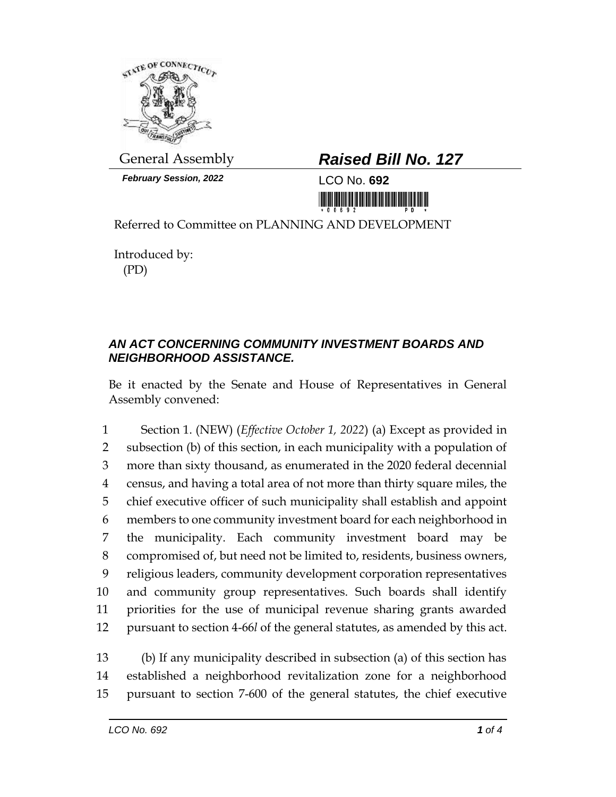

*February Session, 2022* LCO No. **692**

## General Assembly *Raised Bill No. 127*

<u>ni ini ini ini mamamini mini m</u>

Referred to Committee on PLANNING AND DEVELOPMENT

Introduced by: (PD)

## *AN ACT CONCERNING COMMUNITY INVESTMENT BOARDS AND NEIGHBORHOOD ASSISTANCE.*

Be it enacted by the Senate and House of Representatives in General Assembly convened:

 Section 1. (NEW) (*Effective October 1, 2022*) (a) Except as provided in subsection (b) of this section, in each municipality with a population of more than sixty thousand, as enumerated in the 2020 federal decennial census, and having a total area of not more than thirty square miles, the chief executive officer of such municipality shall establish and appoint members to one community investment board for each neighborhood in the municipality. Each community investment board may be compromised of, but need not be limited to, residents, business owners, religious leaders, community development corporation representatives and community group representatives. Such boards shall identify priorities for the use of municipal revenue sharing grants awarded pursuant to section 4-66*l* of the general statutes, as amended by this act.

13 (b) If any municipality described in subsection (a) of this section has 14 established a neighborhood revitalization zone for a neighborhood 15 pursuant to section 7-600 of the general statutes, the chief executive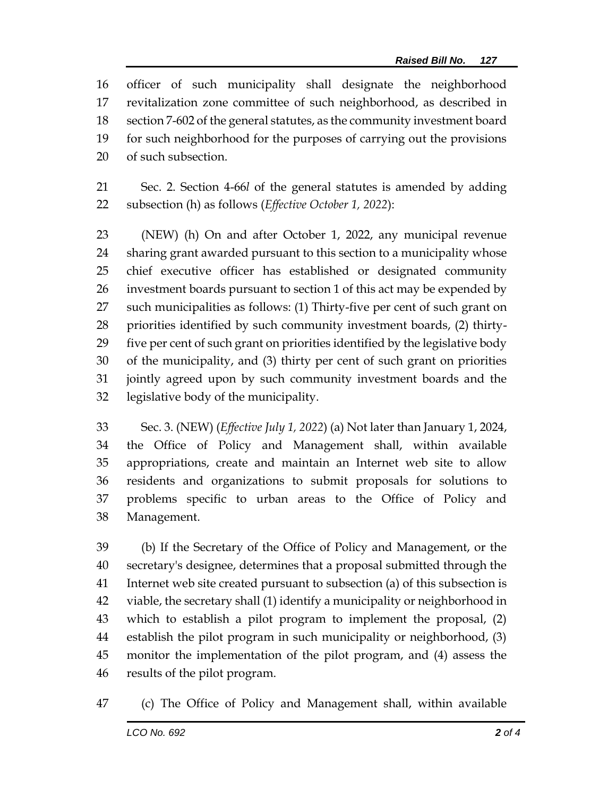officer of such municipality shall designate the neighborhood revitalization zone committee of such neighborhood, as described in section 7-602 of the general statutes, as the community investment board for such neighborhood for the purposes of carrying out the provisions of such subsection.

 Sec. 2. Section 4-66*l* of the general statutes is amended by adding subsection (h) as follows (*Effective October 1, 2022*):

 (NEW) (h) On and after October 1, 2022, any municipal revenue sharing grant awarded pursuant to this section to a municipality whose chief executive officer has established or designated community investment boards pursuant to section 1 of this act may be expended by such municipalities as follows: (1) Thirty-five per cent of such grant on priorities identified by such community investment boards, (2) thirty- five per cent of such grant on priorities identified by the legislative body of the municipality, and (3) thirty per cent of such grant on priorities jointly agreed upon by such community investment boards and the legislative body of the municipality.

 Sec. 3. (NEW) (*Effective July 1, 2022*) (a) Not later than January 1, 2024, the Office of Policy and Management shall, within available appropriations, create and maintain an Internet web site to allow residents and organizations to submit proposals for solutions to problems specific to urban areas to the Office of Policy and Management.

 (b) If the Secretary of the Office of Policy and Management, or the secretary's designee, determines that a proposal submitted through the Internet web site created pursuant to subsection (a) of this subsection is viable, the secretary shall (1) identify a municipality or neighborhood in which to establish a pilot program to implement the proposal, (2) establish the pilot program in such municipality or neighborhood, (3) monitor the implementation of the pilot program, and (4) assess the results of the pilot program.

(c) The Office of Policy and Management shall, within available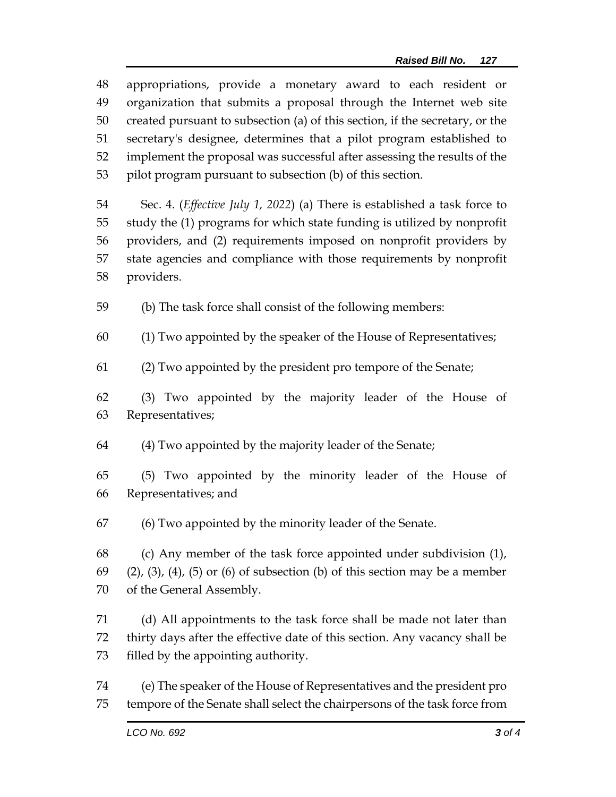| 48 | appropriations, provide a monetary award to each resident or                               |  |  |
|----|--------------------------------------------------------------------------------------------|--|--|
| 49 | organization that submits a proposal through the Internet web site                         |  |  |
| 50 | created pursuant to subsection (a) of this section, if the secretary, or the               |  |  |
| 51 | secretary's designee, determines that a pilot program established to                       |  |  |
| 52 | implement the proposal was successful after assessing the results of the                   |  |  |
| 53 | pilot program pursuant to subsection (b) of this section.                                  |  |  |
| 54 | Sec. 4. ( <i>Effective July 1, 2022</i> ) (a) There is established a task force to         |  |  |
| 55 | study the (1) programs for which state funding is utilized by nonprofit                    |  |  |
| 56 | providers, and (2) requirements imposed on nonprofit providers by                          |  |  |
| 57 | state agencies and compliance with those requirements by nonprofit                         |  |  |
| 58 | providers.                                                                                 |  |  |
| 59 | (b) The task force shall consist of the following members:                                 |  |  |
| 60 | (1) Two appointed by the speaker of the House of Representatives;                          |  |  |
| 61 | (2) Two appointed by the president pro tempore of the Senate;                              |  |  |
| 62 | (3) Two appointed by the majority leader of the House of                                   |  |  |
| 63 | Representatives;                                                                           |  |  |
| 64 | (4) Two appointed by the majority leader of the Senate;                                    |  |  |
| 65 | (5) Two appointed by the minority leader of the House of                                   |  |  |
| 66 | Representatives; and                                                                       |  |  |
| 67 | (6) Two appointed by the minority leader of the Senate.                                    |  |  |
| 68 | (c) Any member of the task force appointed under subdivision (1),                          |  |  |
| 69 | $(2)$ , $(3)$ , $(4)$ , $(5)$ or $(6)$ of subsection $(b)$ of this section may be a member |  |  |
| 70 | of the General Assembly.                                                                   |  |  |
| 71 | (d) All appointments to the task force shall be made not later than                        |  |  |
| 72 | thirty days after the effective date of this section. Any vacancy shall be                 |  |  |
| 73 | filled by the appointing authority.                                                        |  |  |
| 74 | (e) The speaker of the House of Representatives and the president pro                      |  |  |
| 75 | tempore of the Senate shall select the chairpersons of the task force from                 |  |  |